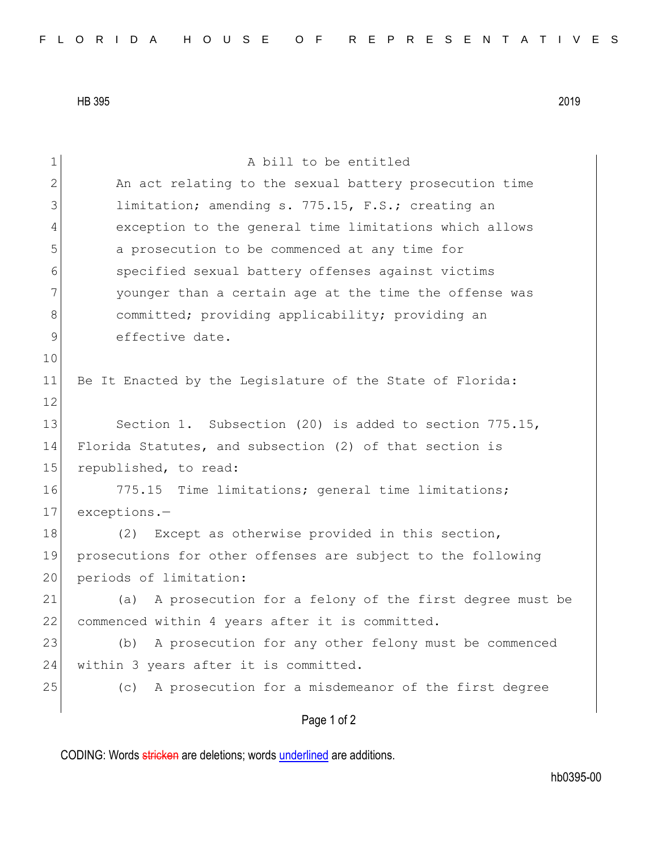HB 395 2019

| $\mathbf 1$ | A bill to be entitled                                         |
|-------------|---------------------------------------------------------------|
| 2           | An act relating to the sexual battery prosecution time        |
| 3           | limitation; amending s. 775.15, F.S.; creating an             |
| 4           | exception to the general time limitations which allows        |
| 5           | a prosecution to be commenced at any time for                 |
| 6           | specified sexual battery offenses against victims             |
| 7           | younger than a certain age at the time the offense was        |
| 8           | committed; providing applicability; providing an              |
| 9           | effective date.                                               |
| 10          |                                                               |
| 11          | Be It Enacted by the Legislature of the State of Florida:     |
| 12          |                                                               |
| 13          | Section 1. Subsection (20) is added to section 775.15,        |
| 14          | Florida Statutes, and subsection (2) of that section is       |
| 15          | republished, to read:                                         |
| 16          | 775.15 Time limitations; general time limitations;            |
| 17          | exceptions.-                                                  |
| 18          | (2) Except as otherwise provided in this section,             |
| 19          | prosecutions for other offenses are subject to the following  |
| 20          | periods of limitation:                                        |
| 21          | A prosecution for a felony of the first degree must be<br>(a) |
| 22          | commenced within 4 years after it is committed.               |
| 23          | A prosecution for any other felony must be commenced<br>(b)   |
| 24          | within 3 years after it is committed.                         |
| 25          | A prosecution for a misdemeanor of the first degree<br>(c)    |
|             | Page 1 of 2                                                   |

CODING: Words stricken are deletions; words underlined are additions.